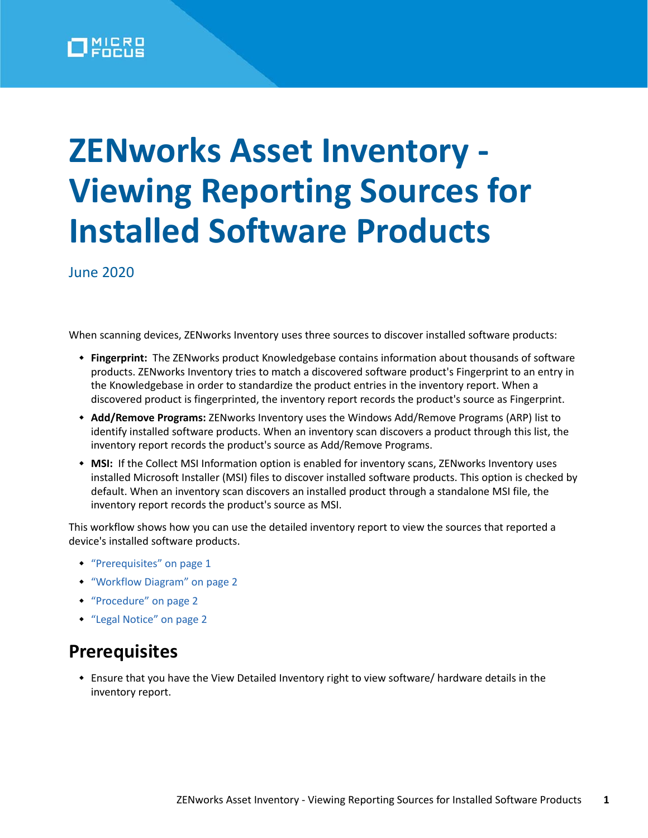# **ZENworks Asset Inventory - Viewing Reporting Sources for Installed Software Products**

June 2020

When scanning devices, ZENworks Inventory uses three sources to discover installed software products:

- **Fingerprint:** The ZENworks product Knowledgebase contains information about thousands of software products. ZENworks Inventory tries to match a discovered software product's Fingerprint to an entry in the Knowledgebase in order to standardize the product entries in the inventory report. When a discovered product is fingerprinted, the inventory report records the product's source as Fingerprint.
- **Add/Remove Programs:** ZENworks Inventory uses the Windows Add/Remove Programs (ARP) list to identify installed software products. When an inventory scan discovers a product through this list, the inventory report records the product's source as Add/Remove Programs.
- **MSI:** If the Collect MSI Information option is enabled for inventory scans, ZENworks Inventory uses installed Microsoft Installer (MSI) files to discover installed software products. This option is checked by default. When an inventory scan discovers an installed product through a standalone MSI file, the inventory report records the product's source as MSI.

This workflow shows how you can use the detailed inventory report to view the sources that reported a device's installed software products.

- ["Prerequisites" on page 1](#page-0-0)
- ["Workflow Diagram" on page 2](#page-1-0)
- ["Procedure" on page 2](#page-1-1)
- ["Legal Notice" on page 2](#page-1-2)

#### <span id="page-0-0"></span>**Prerequisites**

 Ensure that you have the View Detailed Inventory right to view software/ hardware details in the inventory report.